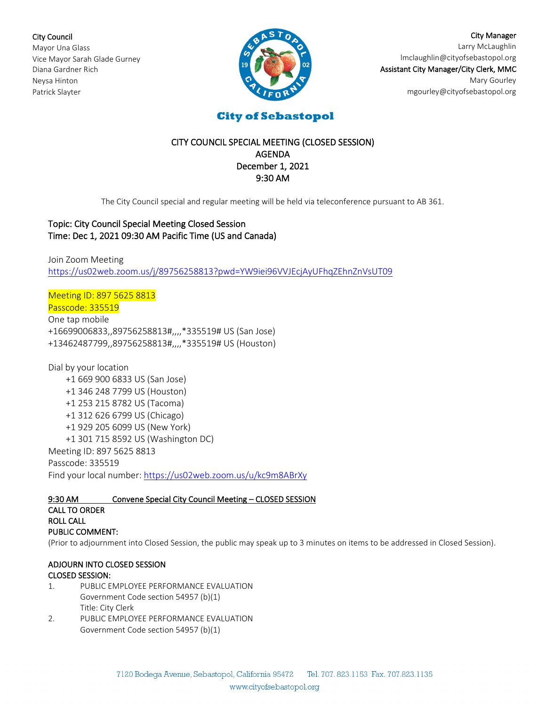City Council Mayor Una Glass Vice Mayor Sarah Glade Gurney Diana Gardner Rich Neysa Hinton Patrick Slayter



City Manager Larry McLaughlin [lmclaughlin@cityofsebastopol.org](mailto:lmclaughlin@cityofsebastopol.org) Assistant City Manager/City Clerk, MMC Mary Gourley mgourley@cityofsebastopol.org

# **City of Sebastopol**

### CITY COUNCIL SPECIAL MEETING (CLOSED SESSION) AGENDA December 1, 2021 9:30 AM

The City Council special and regular meeting will be held via teleconference pursuant to AB 361.

# Topic: City Council Special Meeting Closed Session Time: Dec 1, 2021 09:30 AM Pacific Time (US and Canada)

Join Zoom Meeting <https://us02web.zoom.us/j/89756258813?pwd=YW9iei96VVJEcjAyUFhqZEhnZnVsUT09>

Meeting ID: 897 5625 8813

Passcode: 335519 One tap mobile +16699006833,,89756258813#,,,,\*335519# US (San Jose) +13462487799,,89756258813#,,,,\*335519# US (Houston)

Dial by your location +1 669 900 6833 US (San Jose) +1 346 248 7799 US (Houston) +1 253 215 8782 US (Tacoma) +1 312 626 6799 US (Chicago) +1 929 205 6099 US (New York) +1 301 715 8592 US (Washington DC) Meeting ID: 897 5625 8813 Passcode: 335519 Find your local number[: https://us02web.zoom.us/u/kc9m8ABrXy](https://us02web.zoom.us/u/kc9m8ABrXy)

9:30 AM Convene Special City Council Meeting – CLOSED SESSION

CALL TO ORDER ROLL CALL PUBLIC COMMENT:

(Prior to adjournment into Closed Session, the public may speak up to 3 minutes on items to be addressed in Closed Session).

## ADJOURN INTO CLOSED SESSION CLOSED SESSION:

- 1. PUBLIC EMPLOYEE PERFORMANCE EVALUATION Government Code section 54957 (b)(1) Title: City Clerk
- 2. PUBLIC EMPLOYEE PERFORMANCE EVALUATION Government Code section 54957 (b)(1)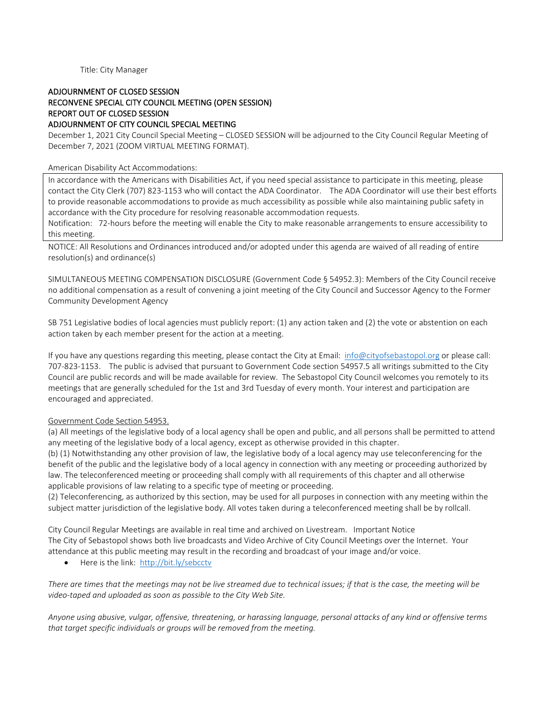#### ADJOURNMENT OF CLOSED SESSION RECONVENE SPECIAL CITY COUNCIL MEETING (OPEN SESSION) REPORT OUT OF CLOSED SESSION ADJOURNMENT OF CITY COUNCIL SPECIAL MEETING

December 1, 2021 City Council Special Meeting – CLOSED SESSION will be adjourned to the City Council Regular Meeting of December 7, 2021 (ZOOM VIRTUAL MEETING FORMAT).

#### American Disability Act Accommodations:

In accordance with the Americans with Disabilities Act, if you need special assistance to participate in this meeting, please contact the City Clerk (707) 823-1153 who will contact the ADA Coordinator. The ADA Coordinator will use their best efforts to provide reasonable accommodations to provide as much accessibility as possible while also maintaining public safety in accordance with the City procedure for resolving reasonable accommodation requests.

Notification: 72-hours before the meeting will enable the City to make reasonable arrangements to ensure accessibility to this meeting.

NOTICE: All Resolutions and Ordinances introduced and/or adopted under this agenda are waived of all reading of entire resolution(s) and ordinance(s)

SIMULTANEOUS MEETING COMPENSATION DISCLOSURE (Government Code § 54952.3): Members of the City Council receive no additional compensation as a result of convening a joint meeting of the City Council and Successor Agency to the Former Community Development Agency

SB 751 Legislative bodies of local agencies must publicly report: (1) any action taken and (2) the vote or abstention on each action taken by each member present for the action at a meeting.

If you have any questions regarding this meeting, please contact the City at Email: [info@cityofsebastopol.org](mailto:info@cityofsebastopol.org) or please call: 707-823-1153. The public is advised that pursuant to Government Code section 54957.5 all writings submitted to the City Council are public records and will be made available for review. The Sebastopol City Council welcomes you remotely to its meetings that are generally scheduled for the 1st and 3rd Tuesday of every month. Your interest and participation are encouraged and appreciated.

#### Government Code Section 54953.

(a) All meetings of the legislative body of a local agency shall be open and public, and all persons shall be permitted to attend any meeting of the legislative body of a local agency, except as otherwise provided in this chapter.

(b) (1) Notwithstanding any other provision of law, the legislative body of a local agency may use teleconferencing for the benefit of the public and the legislative body of a local agency in connection with any meeting or proceeding authorized by law. The teleconferenced meeting or proceeding shall comply with all requirements of this chapter and all otherwise applicable provisions of law relating to a specific type of meeting or proceeding.

(2) Teleconferencing, as authorized by this section, may be used for all purposes in connection with any meeting within the subject matter jurisdiction of the legislative body. All votes taken during a teleconferenced meeting shall be by rollcall.

City Council Regular Meetings are available in real time and archived on Livestream. Important Notice The City of Sebastopol shows both live broadcasts and Video Archive of City Council Meetings over the Internet. Your attendance at this public meeting may result in the recording and broadcast of your image and/or voice.

• Here is the link: <http://bit.ly/sebcctv>

*There are times that the meetings may not be live streamed due to technical issues; if that is the case, the meeting will be video-taped and uploaded as soon as possible to the City Web Site.*

*Anyone using abusive, vulgar, offensive, threatening, or harassing language, personal attacks of any kind or offensive terms that target specific individuals or groups will be removed from the meeting.*